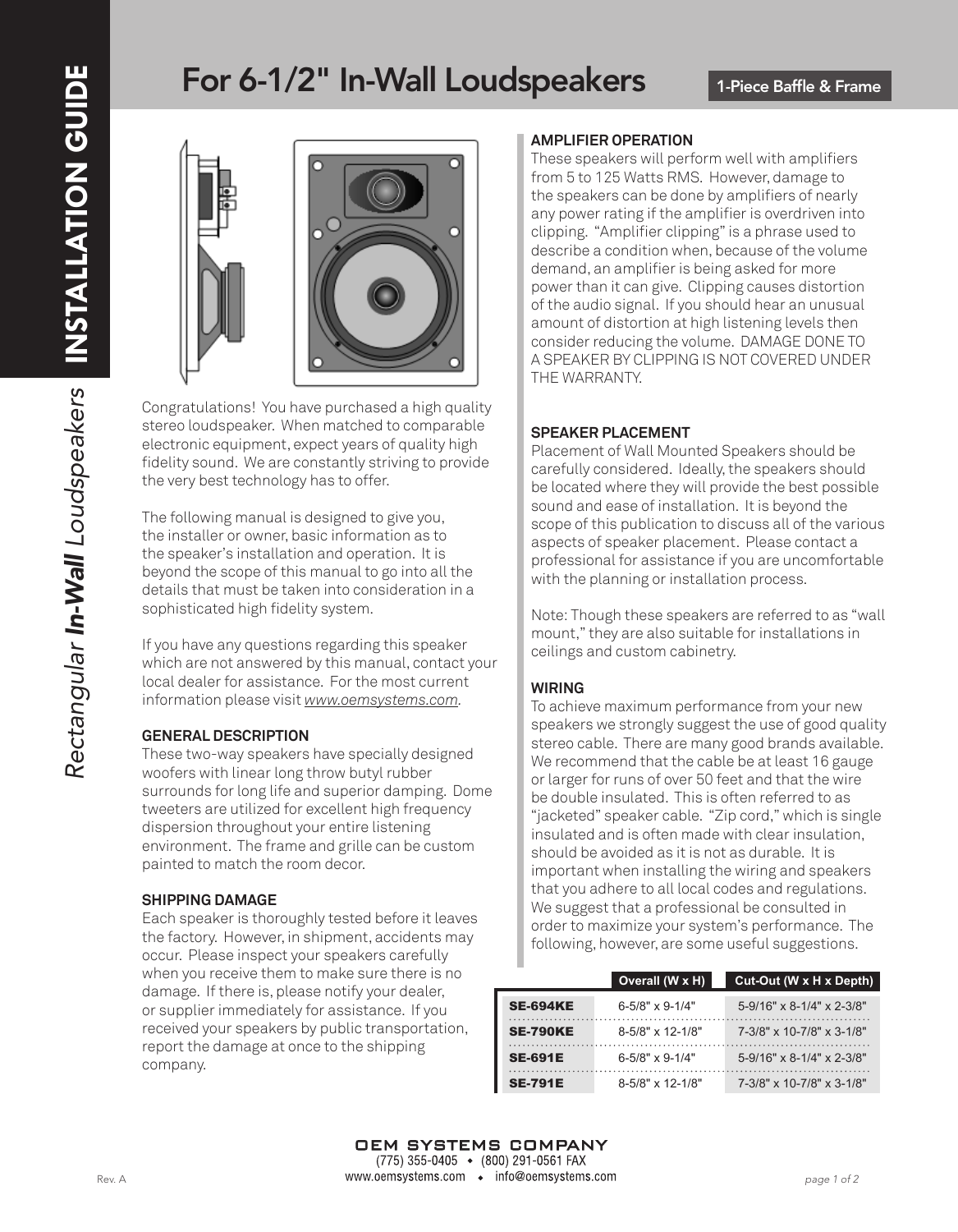# For 6-1/2" In-Wall Loudspeakers



Congratulations! You have purchased a high quality stereo loudspeaker. When matched to comparable electronic equipment, expect years of quality high fidelity sound. We are constantly striving to provide the very best technology has to offer.

The following manual is designed to give you, the installer or owner, basic information as to the speaker's installation and operation. It is beyond the scope of this manual to go into all the details that must be taken into consideration in a sophisticated high fidelity system.

If you have any questions regarding this speaker which are not answered by this manual, contact your local dealer for assistance. For the most current information please visit *www.oemsystems.com.*

#### **GENERAL DESCRIPTION**

These two-way speakers have specially designed woofers with linear long throw butyl rubber surrounds for long life and superior damping. Dome tweeters are utilized for excellent high frequency dispersion throughout your entire listening environment. The frame and grille can be custom painted to match the room decor.

#### **SHIPPING DAMAGE**

Each speaker is thoroughly tested before it leaves the factory. However, in shipment, accidents may occur. Please inspect your speakers carefully when you receive them to make sure there is no damage. If there is, please notify your dealer, or supplier immediately for assistance. If you received your speakers by public transportation, report the damage at once to the shipping company.

#### **AMPLIFIER OPERATION**

These speakers will perform well with amplifiers from 5 to 125 Watts RMS. However, damage to the speakers can be done by amplifiers of nearly any power rating if the amplifier is overdriven into clipping. "Amplifier clipping" is a phrase used to describe a condition when, because of the volume demand, an amplifier is being asked for more power than it can give. Clipping causes distortion of the audio signal. If you should hear an unusual amount of distortion at high listening levels then consider reducing the volume. DAMAGE DONE TO A SPEAKER BY CLIPPING IS NOT COVERED UNDER THE WARRANTY.

# **SPEAKER PLACEMENT**

Placement of Wall Mounted Speakers should be carefully considered. Ideally, the speakers should be located where they will provide the best possible sound and ease of installation. It is beyond the scope of this publication to discuss all of the various aspects of speaker placement. Please contact a professional for assistance if you are uncomfortable with the planning or installation process.

Note: Though these speakers are referred to as "wall mount," they are also suitable for installations in ceilings and custom cabinetry.

# **WIRING**

To achieve maximum performance from your new speakers we strongly suggest the use of good quality stereo cable. There are many good brands available. We recommend that the cable be at least 16 gauge or larger for runs of over 50 feet and that the wire be double insulated. This is often referred to as "jacketed" speaker cable. "Zip cord," which is single insulated and is often made with clear insulation, should be avoided as it is not as durable. It is important when installing the wiring and speakers that you adhere to all local codes and regulations. We suggest that a professional be consulted in order to maximize your system's performance. The following, however, are some useful suggestions.

|                 | Overall (W x H)             | Cut-Out (W x H x Depth)   |
|-----------------|-----------------------------|---------------------------|
| <b>SE-694KE</b> | $6 - 5/8" \times 9 - 1/4"$  | 5-9/16" x 8-1/4" x 2-3/8" |
| <b>SE-790KE</b> | $8 - 5/8" \times 12 - 1/8"$ | 7-3/8" x 10-7/8" x 3-1/8" |
| <b>SE-691E</b>  | $6 - 5/8" \times 9 - 1/4"$  | 5-9/16" x 8-1/4" x 2-3/8" |
| <b>SE-791E</b>  | $8 - 5/8" \times 12 - 1/8"$ | 7-3/8" x 10-7/8" x 3-1/8" |